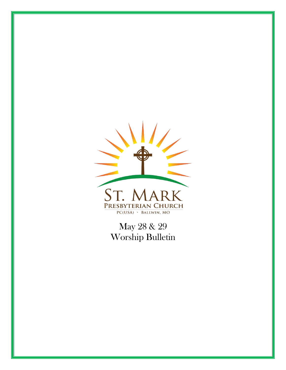

May 28 & 29 Worship Bulletin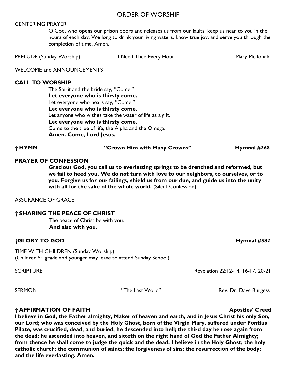#### ORDER OF WORSHIP

#### CENTERING PRAYER

O God, who opens our prison doors and releases us from our faults, keep us near to you in the hours of each day. We long to drink your living waters, know true joy, and serve you through the completion of time. Amen.

| PRELUDE (Sunday Worship) | I Need Thee Every Hour | Mary Mcdonald |
|--------------------------|------------------------|---------------|
|                          |                        |               |

WELCOME and ANNOUNCEMENTS

#### **CALL TO WORSHIP**

The Spirit and the bride say, "Come." **Let everyone who is thirsty come.** Let everyone who hears say, "Come." **Let everyone who is thirsty come.** Let anyone who wishes take the water of life as a gift. **Let everyone who is thirsty come.** Come to the tree of life, the Alpha and the Omega. **Amen. Come, Lord Jesus.**

**† HYMN "Crown Him with Many Crowns" Hymnal #268**

#### **PRAYER OF CONFESSION**

**Gracious God, you call us to everlasting springs to be drenched and reformed, but we fail to heed you. We do not turn with love to our neighbors, to ourselves, or to you. Forgive us for our failings, shield us from our due, and guide us into the unity with all for the sake of the whole world.** (Silent Confession)

ASSURANCE OF GRACE

#### **† SHARING THE PEACE OF CHRIST**

The peace of Christ be with you. **And also with you.**

#### **†GLORY TO GOD Hymnal #582**

TIME WITH CHILDREN (Sunday Worship) (Children  $5<sup>th</sup>$  grade and younger may leave to attend Sunday School)

SCRIPTURE Revelation 22:12-14, 16-17, 20-21

SERMON The Last Word" Rev. Dr. Dave Burgess (SERMON

#### **† AFFIRMATION OF FAITH Apostles' Creed**

**I believe in God, the Father almighty, Maker of heaven and earth, and in Jesus Christ his only Son, our Lord; who was conceived by the Holy Ghost, born of the Virgin Mary, suffered under Pontius Pilate, was crucified, dead, and buried; he descended into hell; the third day he rose again from the dead; he ascended into heaven, and sitteth on the right hand of God the Father Almighty; from thence he shall come to judge the quick and the dead. I believe in the Holy Ghost; the holy catholic church; the communion of saints; the forgiveness of sins; the resurrection of the body; and the life everlasting. Amen.**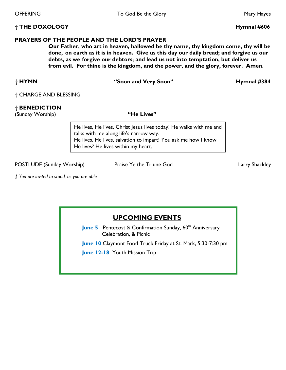## **† THE DOXOLOGY Hymnal #606**

## **PRAYERS OF THE PEOPLE AND THE LORD'S PRAYER**

**Our Father, who art in heaven, hallowed be thy name, thy kingdom come, thy will be done, on earth as it is in heaven. Give us this day our daily bread; and forgive us our debts, as we forgive our debtors; and lead us not into temptation, but deliver us from evil. For thine is the kingdom, and the power, and the glory, forever. Amen.** 

**† HYMN "Soon and Very Soon" Hymnal #384**

† CHARGE AND BLESSING

#### **† BENEDICTION**

(Sunday Worship) **"He Lives"** 

He lives, He lives, Christ Jesus lives today! He walks with me and talks with me along life's narrow way. He lives, He lives, salvation to impart! You ask me how I know He lives? He lives within my heart.

POSTLUDE (Sunday Worship) Praise Ye the Triune God Larry Shackley

*† You are invited to stand, as you are able* 

# **UPCOMING EVENTS**

**June 5** Pentecost & Confirmation Sunday, 60<sup>th</sup> Anniversary Celebration, & Picnic

**June 10** Claymont Food Truck Friday at St. Mark, 5:30-7:30 pm

**June 12-18** Youth Mission Trip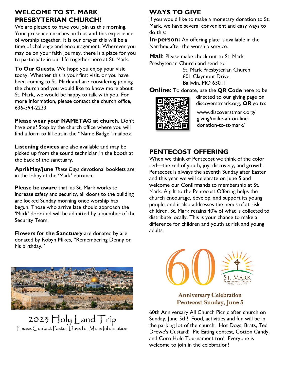## **WELCOME TO ST. MARK PRESBYTERIAN CHURCH!**

We are pleased to have you join us this morning. Your presence enriches both us and this experience of worship together. It is our prayer this will be a time of challenge and encouragement. Wherever you may be on your faith journey, there is a place for you to participate in our life together here at St. Mark.

**To Our Guests.** We hope you enjoy your visit today. Whether this is your first visit, or you have been coming to St. Mark and are considering joining the church and you would like to know more about St. Mark, we would be happy to talk with you. For more information, please contact the church office, 636-394-2233.

**Please wear your NAMETAG at church.** Don't have one? Stop by the church office where you will find a form to fill out in the "Name Badge" mailbox.

**Listening devices** are also available and may be picked up from the sound technician in the booth at the back of the sanctuary.

**April/May/June** *These Days* devotional booklets are in the lobby at the 'Mark' entrance.

**Please be aware** that, as St. Mark works to increase safety and security, all doors to the building are locked Sunday morning once worship has begun. Those who arrive late should approach the 'Mark' door and will be admitted by a member of the Security Team.

**Flowers for the Sanctuary** are donated by are donated by Robyn Mikes, "Remembering Denny on his birthday."



2023  $\operatorname{\mathsf{Holy}}\mathsf{L}$ and  $\operatorname{\mathsf{Trip}}$ Please Contact Pastor Dave for More Information

# **WAYS TO GIVE**

If you would like to make a monetary donation to St. Mark, we have several convenient and easy ways to do this:

**In-person:** An offering plate is available in the Narthex after the worship service.

**Mail**: Please make check out to St. Mark Presbyterian Church and send to:

> St. Mark Presbyterian Church 601 Claymont Drive Ballwin, MO 63011

**Online**: To donate, use the **QR Code** here to be



directed to our giving page on discoverstmark.org, **OR** go to:

www.discoverstmark.org/ giving/make-an-on-linedonation-to-st-mark/

# **PENTECOST OFFERING**

When we think of Pentecost we think of the color red—the red of youth, joy, discovery, and growth. Pentecost is always the seventh Sunday after Easter and this year we will celebrate on June 5 and welcome our Confirmands to membership at St. Mark. A gift to the Pentecost Offering helps the church encourage, develop, and support its young people, and it also addresses the needs of at-risk children. St. Mark retains 40% of what is collected to distribute locally. This is your chance to make a difference for children and youth at risk and young adults.



**Anniversary Celebration** Pentecost Sunday, June 5

60th Anniversary All Church Picnic after church on Sunday, June 5th! Food, activities and fun will be in the parking lot of the church. Hot Dogs, Brats, Ted Drewe's Custard! Pie Eating contest, Cotton Candy, and Corn Hole Tournament too! Everyone is welcome to join in the celebration!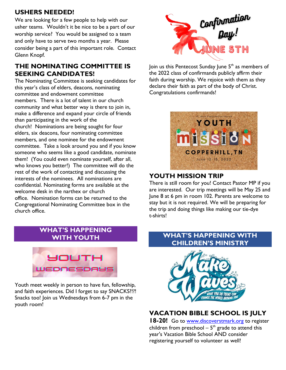# **USHERS NEEDED!**

We are looking for a few people to help with our usher teams. Wouldn't it be nice to be a part of our worship service? You would be assigned to a team and only have to serve two months a year. Please consider being a part of this important role. Contact Glenn Knopf.

# **THE NOMINATING COMMITTEE IS SEEKING CANDIDATES!**

The Nominating Committee is seeking candidates for this year's class of elders, deacons, nominating committee and endowment committee members. There is a lot of talent in our church community and what better way is there to join in, make a difference and expand your circle of friends than participating in the work of the church! Nominations are being sought for four elders, six deacons, four nominating committee members, and one nominee for the endowment committee. Take a look around you and if you know someone who seems like a good candidate, nominate them! (You could even nominate yourself, after all, who knows you better!) The committee will do the rest of the work of contacting and discussing the interests of the nominees. All nominations are confidential. Nominating forms are available at the welcome desk in the narthex or church office. Nomination forms can be returned to the Congregational Nominating Committee box in the church office.



Join us this Pentecost Sunday June  $5<sup>th</sup>$  as members of the 2022 class of confirmands publicly affirm their faith during worship. We rejoice with them as they declare their faith as part of the body of Christ. Congratulations confirmands!



## **YOUTH MISSION TRIP**

There is still room for you! Contact Pastor MP if you are interested. Our trip meetings will be May 25 and June 8 at 6 pm in room 102. Parents are welcome to stay but it is not required. We will be preparing for the trip and doing things like making our tie-dye t-shirts!

## **WHAT'S HAPPENING WITH YOUTH**



Youth meet weekly in person to have fun, fellowship, and faith experiences. Did I forget to say SNACKS?!?! Snacks too! Join us Wednesdays from 6-7 pm in the youth room!

## **WHAT'S HAPPENING WITH CHILDREN'S MINISTRY**



# **VACATION BIBLE SCHOOL IS JULY**

18-20! Go to [www.discoverstmark.org](http://www.discoverstmark.org/) to register children from preschool  $-5<sup>th</sup>$  grade to attend this year's Vacation Bible School AND consider registering yourself to volunteer as well!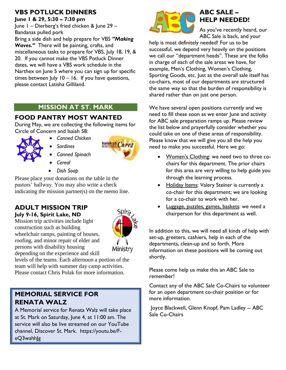# **VBS POTLUCK DINNERS**

## **June 1 & 29, 5:30 – 7:30 pm**

June 1 – Dierberg's fried chicken & June 29 – Bandanas pulled pork Bring a side dish and help prepare for VBS *"Making Waves."* There will be painting, crafts, and miscellaneous tasks to prepare for VBS, July 18, 19, & 20. If you cannot make the VBS Potluck Dinner dates, we will have a VBS work schedule in the Narthex on June 5 where you can sign up for specific times between July  $10 - 16$ . If you have questions, please contact Latisha Gilliland.

# **MISSION AT ST. MARK**

# **FOOD PANTRY MOST WANTED**

During May, we are collecting the following items for Circle of Concern and Isaiah 58:

- 
- *Canned Chicken* • *Sardines*



- *Canned Spinach*
- *Cereal*
- *Dish Soap*

Please place your donations on the table in the pastors' hallway. You may also write a check indicating the mission partner(s) on the memo line.

## **ADULT MISSION TRIP July 9-16, Spirit Lake, ND**

Mission trip activities include light construction such as building wheelchair ramps, painting of houses, roofing, and minor repair of elder and persons with disability housing depending on the experience and skill



levels of the teams. Each afternoon a portion of the team will help with summer day camp activities. Please contact Chris Polak for more information.

# **MEMORIAL SERVICE FOR RENATA WALZ**

A Memorial service for Renata Walz will take place at St. Mark on Saturday, June 4, at 11:00 am. The service will also be live streamed on our YouTube channel, Discover St. Mark. https://youtu.be/FeQ3wahhJg



# **ABC SALE – HELP NEEDED!**

As you've recently heard, our ABC Sale is back, and your

help is most definitely needed! For us to be successful, we depend very heavily on the positions we call our "department heads". These are the folks in charge of each of the sale areas we have, for example, Men's Clothing, Women's Clothing, Sporting Goods, etc. Just as the overall sale itself has co-chairs, most of our departments are structured the same way so that the burden of responsibility is shared rather than on just one person.

We have several open positions currently and we need to fill these soon as we enter June and activity for ABC sale preparation ramps up. Please review the list below and prayerfully consider whether you could take on one of these areas of responsibility. Please know that we will give you all the help you need to make you successful. Here we go:

- Women's Clothing: we need two to three cochairs for this department. The prior chairs for this area are very willing to help guide you through the learning process.
- Holiday Items: Valery Steiner is currently a co-chair for this department; we are looking for a co-chair to work with her.
- Luggage, puzzles, games, baskets: we need a chairperson for this department as well.

In addition to this, we will need all kinds of help with set-up, greeters, cashiers, help in each of the departments, clean-up and so forth. More information on these positions will be coming out shortly.

Please come help us make this an ABC Sale to remember!

Contact any of the ABC Sale Co-Chairs to volunteer for an open department co-chair position or for more information.

Joyce Blackwell, Glenn Knopf, Pam Ladley -- ABC Sale Co-Chairs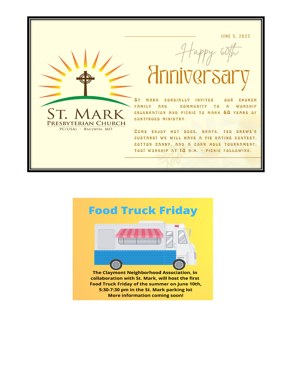